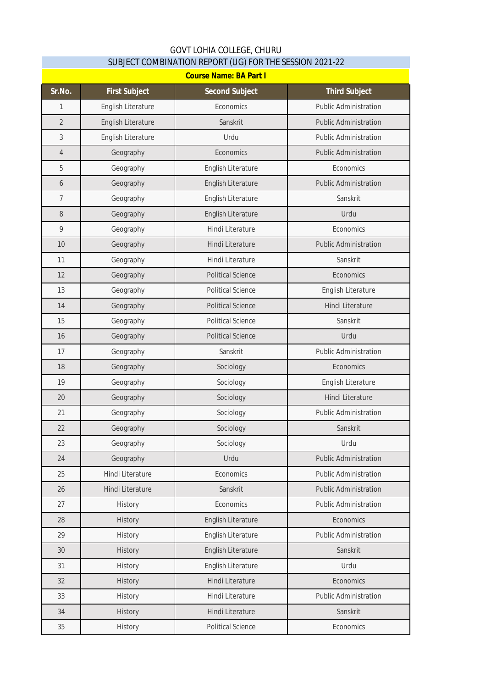## GOVT LOHIA COLLEGE, CHURU SUBJECT COMBINATION REPORT (UG) FOR THE SESSION 2021-22

| <b>Course Name: BA Part I</b> |                      |                          |                              |  |
|-------------------------------|----------------------|--------------------------|------------------------------|--|
| Sr.No.                        | <b>First Subject</b> | <b>Second Subject</b>    | <b>Third Subject</b>         |  |
| 1                             | English Literature   | Economics                | <b>Public Administration</b> |  |
| $\overline{2}$                | English Literature   | Sanskrit                 | <b>Public Administration</b> |  |
| $\mathfrak{Z}$                | English Literature   | Urdu                     | <b>Public Administration</b> |  |
| $\overline{4}$                | Geography            | Economics                | <b>Public Administration</b> |  |
| 5                             | Geography            | English Literature       | Economics                    |  |
| 6                             | Geography            | English Literature       | <b>Public Administration</b> |  |
| $\overline{7}$                | Geography            | English Literature       | Sanskrit                     |  |
| $\, 8$                        | Geography            | English Literature       | Urdu                         |  |
| 9                             | Geography            | Hindi Literature         | Economics                    |  |
| 10                            | Geography            | Hindi Literature         | <b>Public Administration</b> |  |
| 11                            | Geography            | Hindi Literature         | Sanskrit                     |  |
| 12                            | Geography            | <b>Political Science</b> | Economics                    |  |
| 13                            | Geography            | <b>Political Science</b> | English Literature           |  |
| 14                            | Geography            | <b>Political Science</b> | <b>Hindi Literature</b>      |  |
| 15                            | Geography            | <b>Political Science</b> | Sanskrit                     |  |
| 16                            | Geography            | <b>Political Science</b> | Urdu                         |  |
| 17                            | Geography            | Sanskrit                 | <b>Public Administration</b> |  |
| 18                            | Geography            | Sociology                | Economics                    |  |
| 19                            | Geography            | Sociology                | English Literature           |  |
| 20                            | Geography            | Sociology                | Hindi Literature             |  |
| 21                            | Geography            | Sociology                | <b>Public Administration</b> |  |
| 22                            | Geography            | Sociology                | Sanskrit                     |  |
| 23                            | Geography            | Sociology                | Urdu                         |  |
| 24                            | Geography            | Urdu                     | <b>Public Administration</b> |  |
| 25                            | Hindi Literature     | Economics                | <b>Public Administration</b> |  |
| 26                            | Hindi Literature     | Sanskrit                 | <b>Public Administration</b> |  |
| 27                            | History              | Economics                | <b>Public Administration</b> |  |
| 28                            | History              | English Literature       | Economics                    |  |
| 29                            | History              | English Literature       | <b>Public Administration</b> |  |
| 30                            | History              | English Literature       | Sanskrit                     |  |
| 31                            | History              | English Literature       | Urdu                         |  |
| 32                            | History              | Hindi Literature         | Economics                    |  |
| 33                            | History              | Hindi Literature         | <b>Public Administration</b> |  |
| 34                            | History              | Hindi Literature         | Sanskrit                     |  |
| 35                            | History              | <b>Political Science</b> | Economics                    |  |